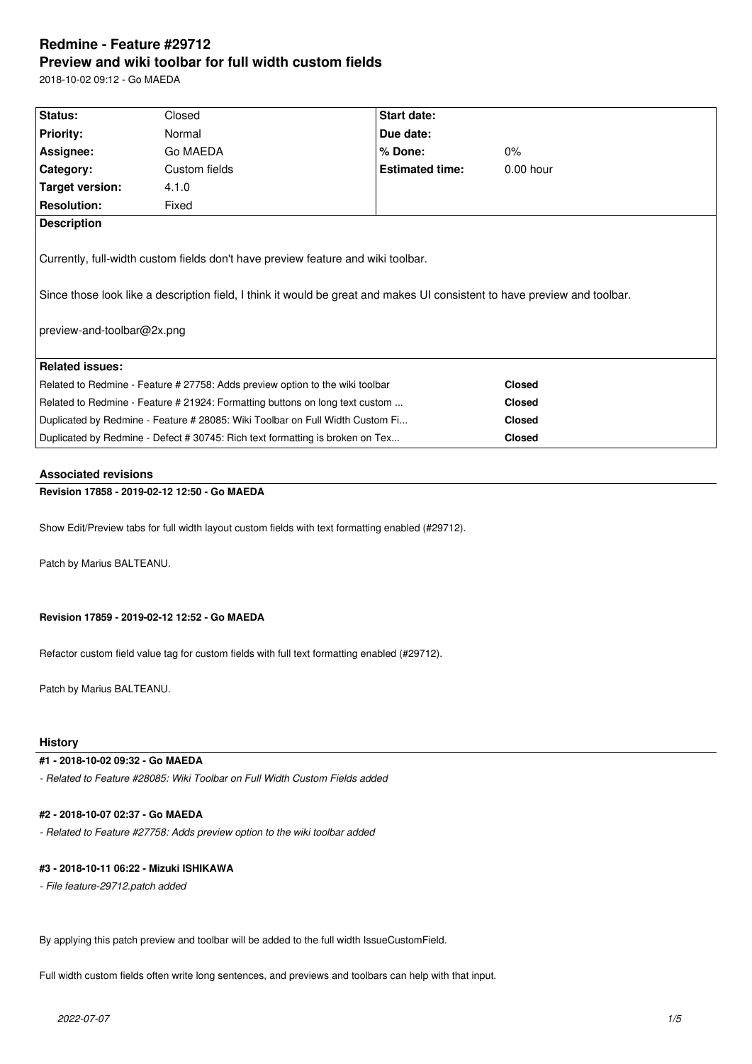# **Redmine - Feature #29712 Preview and wiki toolbar for full width custom fields**

2018-10-02 09:12 - Go MAEDA

| Status:                                                                                                                                                                                                                                     | Closed        | <b>Start date:</b>     |               |  |  |
|---------------------------------------------------------------------------------------------------------------------------------------------------------------------------------------------------------------------------------------------|---------------|------------------------|---------------|--|--|
| <b>Priority:</b>                                                                                                                                                                                                                            | Normal        | Due date:              |               |  |  |
| Assignee:                                                                                                                                                                                                                                   | Go MAEDA      | $%$ Done:              | $0\%$         |  |  |
| Category:                                                                                                                                                                                                                                   | Custom fields | <b>Estimated time:</b> | $0.00$ hour   |  |  |
| Target version:                                                                                                                                                                                                                             | 4.1.0         |                        |               |  |  |
| <b>Resolution:</b>                                                                                                                                                                                                                          | Fixed         |                        |               |  |  |
| <b>Description</b>                                                                                                                                                                                                                          |               |                        |               |  |  |
| Currently, full-width custom fields don't have preview feature and wiki toolbar.<br>Since those look like a description field, I think it would be great and makes UI consistent to have preview and toolbar.<br>preview-and-toolbar@2x.png |               |                        |               |  |  |
| <b>Related issues:</b>                                                                                                                                                                                                                      |               |                        |               |  |  |
| Related to Redmine - Feature # 27758: Adds preview option to the wiki toolbar                                                                                                                                                               |               |                        | <b>Closed</b> |  |  |
| Related to Redmine - Feature # 21924: Formatting buttons on long text custom                                                                                                                                                                |               |                        | <b>Closed</b> |  |  |
| Duplicated by Redmine - Feature # 28085: Wiki Toolbar on Full Width Custom Fi                                                                                                                                                               |               |                        | <b>Closed</b> |  |  |
| Duplicated by Redmine - Defect # 30745: Rich text formatting is broken on Tex                                                                                                                                                               |               |                        | <b>Closed</b> |  |  |

### **Associated revisions**

# **Revision 17858 - 2019-02-12 12:50 - Go MAEDA**

Show Edit/Preview tabs for full width layout custom fields with text formatting enabled (#29712).

Patch by Marius BALTEANU.

## **Revision 17859 - 2019-02-12 12:52 - Go MAEDA**

Refactor custom field value tag for custom fields with full text formatting enabled (#29712).

Patch by Marius BALTEANU.

### **History**

### **#1 - 2018-10-02 09:32 - Go MAEDA**

*- Related to Feature #28085: Wiki Toolbar on Full Width Custom Fields added*

# **#2 - 2018-10-07 02:37 - Go MAEDA**

*- Related to Feature #27758: Adds preview option to the wiki toolbar added*

#### **#3 - 2018-10-11 06:22 - Mizuki ISHIKAWA**

*- File feature-29712.patch added*

By applying this patch preview and toolbar will be added to the full width IssueCustomField.

Full width custom fields often write long sentences, and previews and toolbars can help with that input.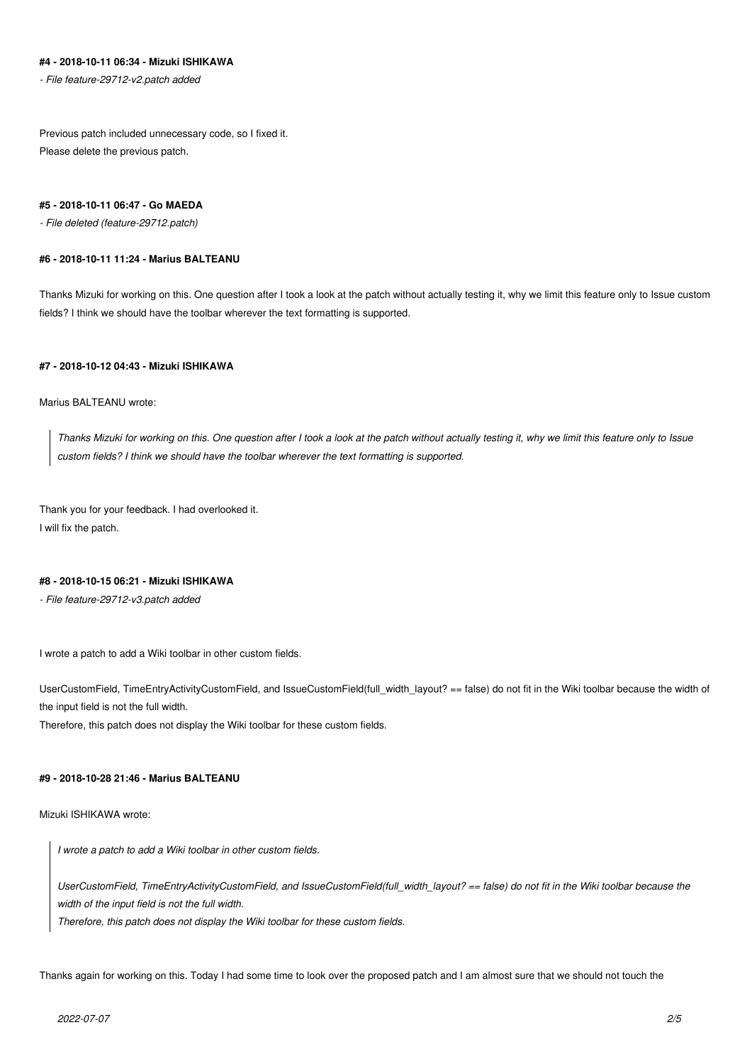# **#4 - 2018-10-11 06:34 - Mizuki ISHIKAWA**

*- File feature-29712-v2.patch added*

Previous patch included unnecessary code, so I fixed it. Please delete the previous patch.

#### **#5 - 2018-10-11 06:47 - Go MAEDA**

*- File deleted (feature-29712.patch)*

#### **#6 - 2018-10-11 11:24 - Marius BALTEANU**

Thanks Mizuki for working on this. One question after I took a look at the patch without actually testing it, why we limit this feature only to Issue custom fields? I think we should have the toolbar wherever the text formatting is supported.

### **#7 - 2018-10-12 04:43 - Mizuki ISHIKAWA**

Marius BALTEANU wrote:

*Thanks Mizuki for working on this. One question after I took a look at the patch without actually testing it, why we limit this feature only to Issue custom fields? I think we should have the toolbar wherever the text formatting is supported.*

Thank you for your feedback. I had overlooked it. I will fix the patch.

#### **#8 - 2018-10-15 06:21 - Mizuki ISHIKAWA**

*- File feature-29712-v3.patch added*

I wrote a patch to add a Wiki toolbar in other custom fields.

UserCustomField, TimeEntryActivityCustomField, and IssueCustomField(full\_width\_layout? == false) do not fit in the Wiki toolbar because the width of the input field is not the full width.

Therefore, this patch does not display the Wiki toolbar for these custom fields.

#### **#9 - 2018-10-28 21:46 - Marius BALTEANU**

Mizuki ISHIKAWA wrote:

*I wrote a patch to add a Wiki toolbar in other custom fields.*

*UserCustomField, TimeEntryActivityCustomField, and IssueCustomField(full\_width\_layout? == false) do not fit in the Wiki toolbar because the width of the input field is not the full width.*

*Therefore, this patch does not display the Wiki toolbar for these custom fields.*

Thanks again for working on this. Today I had some time to look over the proposed patch and I am almost sure that we should not touch the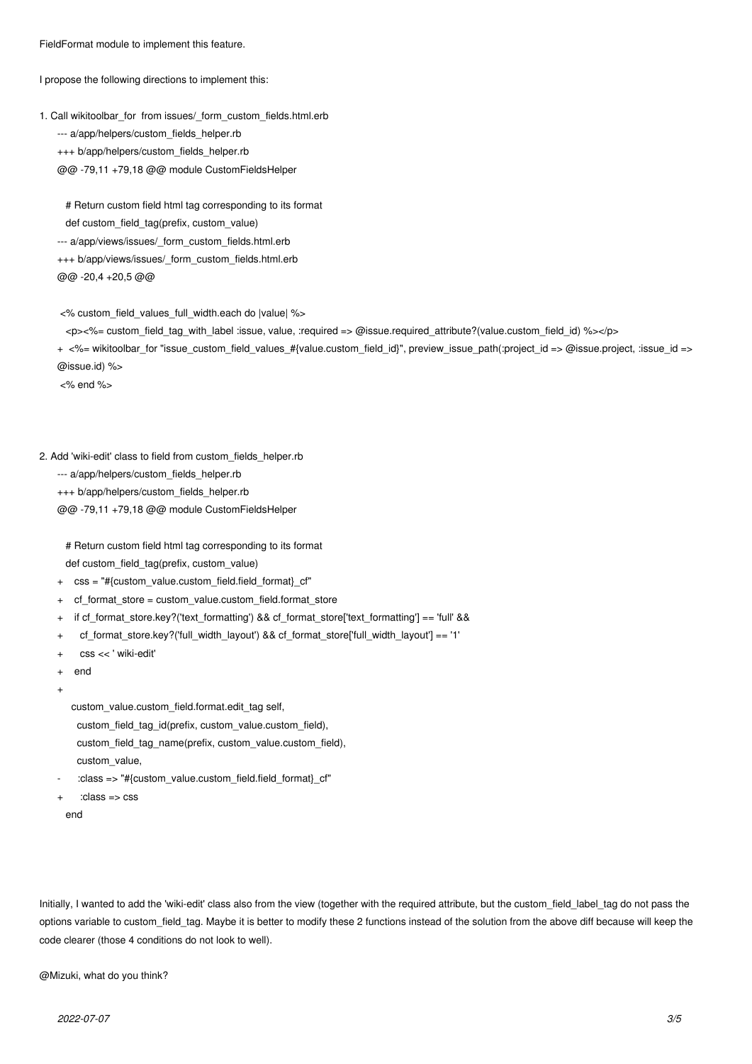FieldFormat module to implement this feature.

I propose the following directions to implement this:

```
1. Call wikitoolbar_for from issues/_form_custom_fields.html.erb
--- a/app/helpers/custom_fields_helper.rb
+++ b/app/helpers/custom_fields_helper.rb
@@ -79,11 +79,18 @@ module CustomFieldsHelper
```
 # Return custom field html tag corresponding to its format def custom\_field\_tag(prefix, custom\_value) --- a/app/views/issues/\_form\_custom\_fields.html.erb +++ b/app/views/issues/\_form\_custom\_fields.html.erb @@ -20,4 +20,5 @@

<% custom\_field\_values\_full\_width.each do |value| %>

<p><%= custom\_field\_tag\_with\_label :issue, value, :required => @issue.required\_attribute?(value.custom\_field\_id) %></p>

+ <%= wikitoolbar\_for "issue\_custom\_field\_values\_#{value.custom\_field\_id}", preview\_issue\_path(:project\_id => @issue.project, :issue\_id => @issue.id) %>

<% end %>

#### 2. Add 'wiki-edit' class to field from custom\_fields\_helper.rb

--- a/app/helpers/custom\_fields\_helper.rb

+++ b/app/helpers/custom\_fields\_helper.rb

@@ -79,11 +79,18 @@ module CustomFieldsHelper

 # Return custom field html tag corresponding to its format def custom\_field\_tag(prefix, custom\_value)

- + css = "#{custom\_value.custom\_field.field\_format}\_cf"
- + cf\_format\_store = custom\_value.custom\_field.format\_store
- + if cf format store.key?('text formatting') && cf format store['text formatting'] == 'full' &&
- + cf format store.key?('full\_width\_layout') && cf\_format\_store['full\_width\_layout'] == '1'
- + css << ' wiki-edit'
- + end
- +

custom\_value.custom\_field.format.edit\_tag self,

custom\_field\_tag\_id(prefix, custom\_value.custom\_field),

- custom\_field\_tag\_name(prefix, custom\_value.custom\_field),
- custom\_value,
- :class => "#{custom\_value.custom\_field.field\_format}\_cf"
- $:class \Rightarrow ess$
- end

Initially, I wanted to add the 'wiki-edit' class also from the view (together with the required attribute, but the custom\_field\_label\_tag do not pass the options variable to custom field tag. Maybe it is better to modify these 2 functions instead of the solution from the above diff because will keep the code clearer (those 4 conditions do not look to well).

@Mizuki, what do you think?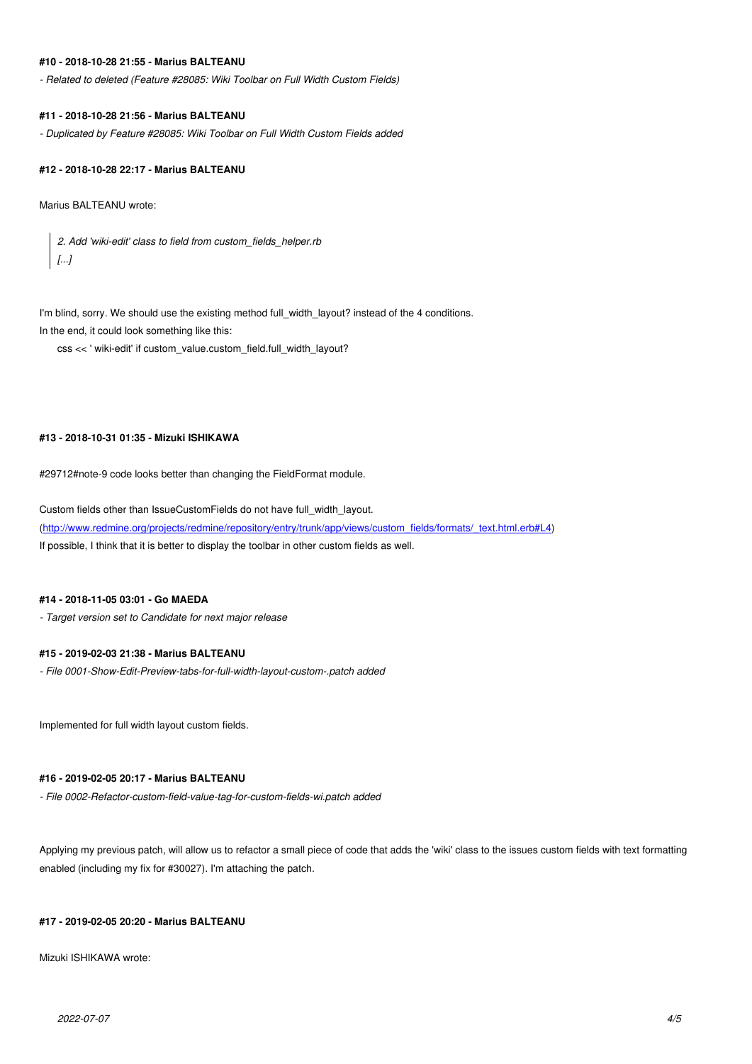#### **#10 - 2018-10-28 21:55 - Marius BALTEANU**

*- Related to deleted (Feature #28085: Wiki Toolbar on Full Width Custom Fields)*

# **#11 - 2018-10-28 21:56 - Marius BALTEANU**

*- Duplicated by Feature #28085: Wiki Toolbar on Full Width Custom Fields added*

# **#12 - 2018-10-28 22:17 - Marius BALTEANU**

Marius BALTEANU wrote:

*2. Add 'wiki-edit' class to field from custom\_fields\_helper.rb [...]*

I'm blind, sorry. We should use the existing method full\_width\_layout? instead of the 4 conditions. In the end, it could look something like this:

css << ' wiki-edit' if custom\_value.custom\_field.full\_width\_layout?

# **#13 - 2018-10-31 01:35 - Mizuki ISHIKAWA**

#29712#note-9 code looks better than changing the FieldFormat module.

Custom fields other than IssueCustomFields do not have full\_width\_layout. (http://www.redmine.org/projects/redmine/repository/entry/trunk/app/views/custom\_fields/formats/\_text.html.erb#L4) If possible, I think that it is better to display the toolbar in other custom fields as well.

# **[#14 - 2018-11-05 03:01 - Go MAEDA](http://www.redmine.org/projects/redmine/repository/entry/trunk/app/views/custom_fields/formats/_text.html.erb#L4)**

*- Target version set to Candidate for next major release*

# **#15 - 2019-02-03 21:38 - Marius BALTEANU**

*- File 0001-Show-Edit-Preview-tabs-for-full-width-layout-custom-.patch added*

Implemented for full width layout custom fields.

# **#16 - 2019-02-05 20:17 - Marius BALTEANU**

*- File 0002-Refactor-custom-field-value-tag-for-custom-fields-wi.patch added*

Applying my previous patch, will allow us to refactor a small piece of code that adds the 'wiki' class to the issues custom fields with text formatting enabled (including my fix for #30027). I'm attaching the patch.

# **#17 - 2019-02-05 20:20 - Marius BALTEANU**

Mizuki ISHIKAWA wrote: